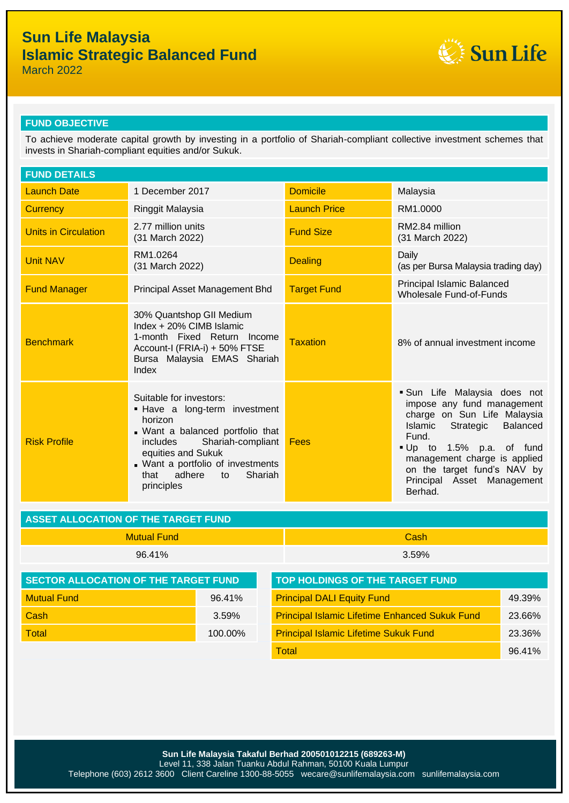# **Sun Life Malaysia Islamic Strategic Balanced Fund**



March 2022

### **FUND OBJECTIVE**

To achieve moderate capital growth by investing in a portfolio of Shariah-compliant collective investment schemes that invests in Shariah-compliant equities and/or Sukuk.

| <b>FUND DETAILS</b>         |                                                                                                                                                                                                                                                             |                     |                                                                                                                                                                                                                                                                                |  |
|-----------------------------|-------------------------------------------------------------------------------------------------------------------------------------------------------------------------------------------------------------------------------------------------------------|---------------------|--------------------------------------------------------------------------------------------------------------------------------------------------------------------------------------------------------------------------------------------------------------------------------|--|
| <b>Launch Date</b>          | 1 December 2017                                                                                                                                                                                                                                             | <b>Domicile</b>     | Malaysia                                                                                                                                                                                                                                                                       |  |
| <b>Currency</b>             | Ringgit Malaysia                                                                                                                                                                                                                                            | <b>Launch Price</b> | RM1.0000                                                                                                                                                                                                                                                                       |  |
| <b>Units in Circulation</b> | 2.77 million units<br>(31 March 2022)                                                                                                                                                                                                                       | <b>Fund Size</b>    | RM2.84 million<br>(31 March 2022)                                                                                                                                                                                                                                              |  |
| <b>Unit NAV</b>             | RM1.0264<br>(31 March 2022)                                                                                                                                                                                                                                 | <b>Dealing</b>      | Daily<br>(as per Bursa Malaysia trading day)                                                                                                                                                                                                                                   |  |
| <b>Fund Manager</b>         | Principal Asset Management Bhd                                                                                                                                                                                                                              | <b>Target Fund</b>  | Principal Islamic Balanced<br><b>Wholesale Fund-of-Funds</b>                                                                                                                                                                                                                   |  |
| <b>Benchmark</b>            | 30% Quantshop GII Medium<br>Index + 20% CIMB Islamic<br>1-month Fixed Return Income<br>Account-I (FRIA-i) + 50% FTSE<br>Bursa Malaysia EMAS Shariah<br>Index                                                                                                | <b>Taxation</b>     | 8% of annual investment income                                                                                                                                                                                                                                                 |  |
| <b>Risk Profile</b>         | Suitable for investors:<br>. Have a long-term investment<br>horizon<br>. Want a balanced portfolio that<br>Shariah-compliant<br><i>includes</i><br>equities and Sukuk<br>. Want a portfolio of investments<br>adhere<br>Shariah<br>that<br>to<br>principles | Fees                | Sun Life Malaysia does not<br>impose any fund management<br>charge on Sun Life Malaysia<br>Islamic<br><b>Balanced</b><br>Strategic<br>Fund.<br>Up to 1.5% p.a. of fund<br>management charge is applied<br>on the target fund's NAV by<br>Principal Asset Management<br>Berhad. |  |

| ASSET ALLOCATION OF THE TARGET FUND |          |  |  |
|-------------------------------------|----------|--|--|
| Mutual Fund                         | Cash     |  |  |
| 96.41%                              | $3.59\%$ |  |  |

| <b>SECTOR ALLOCATION OF THE TARGET FUND</b> |         | <b>TOP HOLDINGS OF THE TARGET FUND</b>                |        |  |
|---------------------------------------------|---------|-------------------------------------------------------|--------|--|
| <b>Mutual Fund</b>                          | 96.41%  | <b>Principal DALI Equity Fund</b>                     | 49.39% |  |
| Cash                                        | 3.59%   | <b>Principal Islamic Lifetime Enhanced Sukuk Fund</b> | 23.66% |  |
| <b>Total</b>                                | 100.00% | <b>Principal Islamic Lifetime Sukuk Fund</b>          | 23.36% |  |
|                                             |         | Total                                                 | 96.41% |  |

**Sun Life Malaysia Takaful Berhad 200501012215 (689263-M)** Level 11, 338 Jalan Tuanku Abdul Rahman, 50100 Kuala Lumpur Telephone (603) 2612 3600 Client Careline 1300-88-5055 wecare@sunlifemalaysia.com sunlifemalaysia.com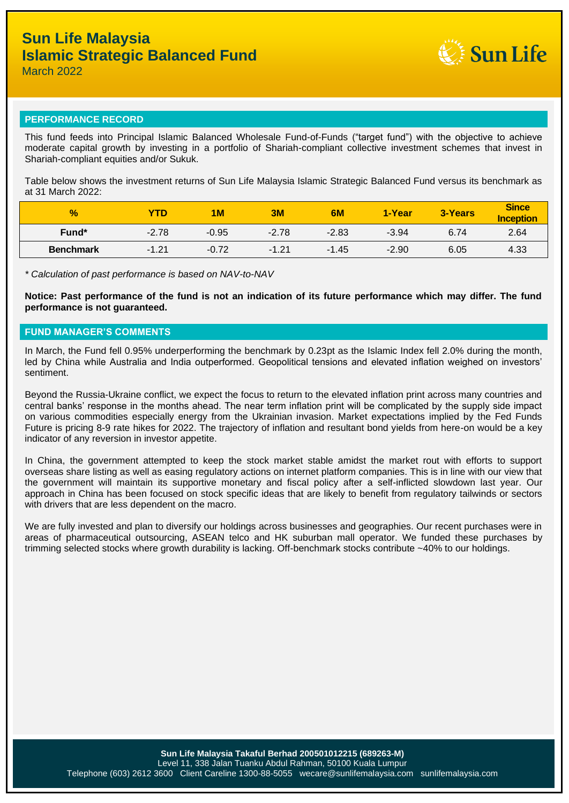

#### **PERFORMANCE RECORD**

This fund feeds into Principal Islamic Balanced Wholesale Fund-of-Funds ("target fund") with the objective to achieve moderate capital growth by investing in a portfolio of Shariah-compliant collective investment schemes that invest in Shariah-compliant equities and/or Sukuk.

Table below shows the investment returns of Sun Life Malaysia Islamic Strategic Balanced Fund versus its benchmark as at 31 March 2022:

| $\frac{9}{6}$    | <b>YTD</b> | <b>1M</b> | 3M      | 6M      | 1-Year  | 3-Years | <b>Since</b><br><b>Inception</b> |
|------------------|------------|-----------|---------|---------|---------|---------|----------------------------------|
| Fund*            | $-2.78$    | $-0.95$   | $-2.78$ | $-2.83$ | $-3.94$ | 6.74    | 2.64                             |
| <b>Benchmark</b> | $-1.21$    | $-0.72$   | $-1.21$ | $-1.45$ | $-2.90$ | 6.05    | 4.33                             |

*\* Calculation of past performance is based on NAV-to-NAV*

**Notice: Past performance of the fund is not an indication of its future performance which may differ. The fund performance is not guaranteed.**

### **FUND MANAGER'S COMMENTS**

In March, the Fund fell 0.95% underperforming the benchmark by 0.23pt as the Islamic Index fell 2.0% during the month, led by China while Australia and India outperformed. Geopolitical tensions and elevated inflation weighed on investors' sentiment.

Beyond the Russia-Ukraine conflict, we expect the focus to return to the elevated inflation print across many countries and central banks' response in the months ahead. The near term inflation print will be complicated by the supply side impact on various commodities especially energy from the Ukrainian invasion. Market expectations implied by the Fed Funds Future is pricing 8-9 rate hikes for 2022. The trajectory of inflation and resultant bond yields from here-on would be a key indicator of any reversion in investor appetite.

In China, the government attempted to keep the stock market stable amidst the market rout with efforts to support overseas share listing as well as easing regulatory actions on internet platform companies. This is in line with our view that the government will maintain its supportive monetary and fiscal policy after a self-inflicted slowdown last year. Our approach in China has been focused on stock specific ideas that are likely to benefit from regulatory tailwinds or sectors with drivers that are less dependent on the macro.

We are fully invested and plan to diversify our holdings across businesses and geographies. Our recent purchases were in areas of pharmaceutical outsourcing, ASEAN telco and HK suburban mall operator. We funded these purchases by trimming selected stocks where growth durability is lacking. Off-benchmark stocks contribute ~40% to our holdings.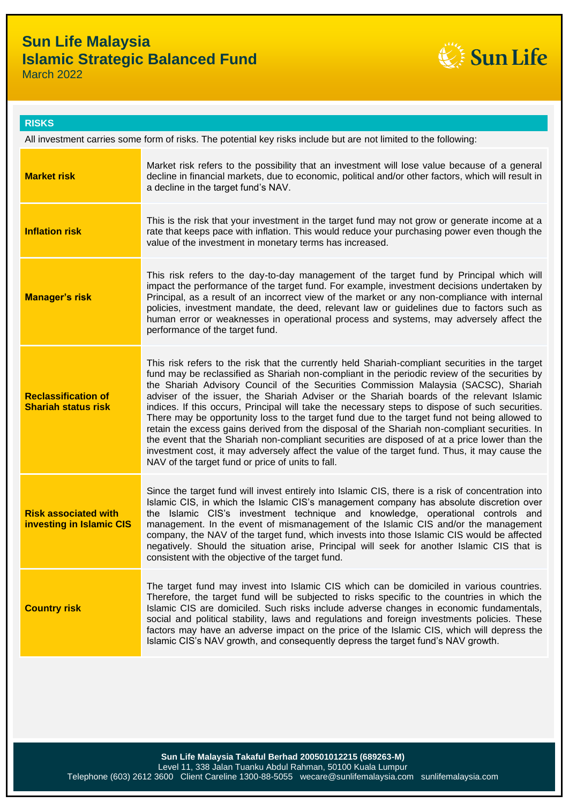## **Sun Life Malaysia Islamic Strategic Balanced Fund**



March 2022

### **RISKS**

All investment carries some form of risks. The potential key risks include but are not limited to the following:

| <b>Market risk</b>                                             | Market risk refers to the possibility that an investment will lose value because of a general<br>decline in financial markets, due to economic, political and/or other factors, which will result in<br>a decline in the target fund's NAV.                                                                                                                                                                                                                                                                                                                                                                                                                                                                                                                                                                                                                                                                                                    |
|----------------------------------------------------------------|------------------------------------------------------------------------------------------------------------------------------------------------------------------------------------------------------------------------------------------------------------------------------------------------------------------------------------------------------------------------------------------------------------------------------------------------------------------------------------------------------------------------------------------------------------------------------------------------------------------------------------------------------------------------------------------------------------------------------------------------------------------------------------------------------------------------------------------------------------------------------------------------------------------------------------------------|
| <b>Inflation risk</b>                                          | This is the risk that your investment in the target fund may not grow or generate income at a<br>rate that keeps pace with inflation. This would reduce your purchasing power even though the<br>value of the investment in monetary terms has increased.                                                                                                                                                                                                                                                                                                                                                                                                                                                                                                                                                                                                                                                                                      |
| <b>Manager's risk</b>                                          | This risk refers to the day-to-day management of the target fund by Principal which will<br>impact the performance of the target fund. For example, investment decisions undertaken by<br>Principal, as a result of an incorrect view of the market or any non-compliance with internal<br>policies, investment mandate, the deed, relevant law or guidelines due to factors such as<br>human error or weaknesses in operational process and systems, may adversely affect the<br>performance of the target fund.                                                                                                                                                                                                                                                                                                                                                                                                                              |
| <b>Reclassification of</b><br><b>Shariah status risk</b>       | This risk refers to the risk that the currently held Shariah-compliant securities in the target<br>fund may be reclassified as Shariah non-compliant in the periodic review of the securities by<br>the Shariah Advisory Council of the Securities Commission Malaysia (SACSC), Shariah<br>adviser of the issuer, the Shariah Adviser or the Shariah boards of the relevant Islamic<br>indices. If this occurs, Principal will take the necessary steps to dispose of such securities.<br>There may be opportunity loss to the target fund due to the target fund not being allowed to<br>retain the excess gains derived from the disposal of the Shariah non-compliant securities. In<br>the event that the Shariah non-compliant securities are disposed of at a price lower than the<br>investment cost, it may adversely affect the value of the target fund. Thus, it may cause the<br>NAV of the target fund or price of units to fall. |
| <b>Risk associated with</b><br><b>investing in Islamic CIS</b> | Since the target fund will invest entirely into Islamic CIS, there is a risk of concentration into<br>Islamic CIS, in which the Islamic CIS's management company has absolute discretion over<br>the Islamic CIS's investment technique and knowledge, operational controls and<br>management. In the event of mismanagement of the Islamic CIS and/or the management<br>company, the NAV of the target fund, which invests into those Islamic CIS would be affected<br>negatively. Should the situation arise, Principal will seek for another Islamic CIS that is<br>consistent with the objective of the target fund.                                                                                                                                                                                                                                                                                                                       |
| <b>Country risk</b>                                            | The target fund may invest into Islamic CIS which can be domiciled in various countries.<br>Therefore, the target fund will be subjected to risks specific to the countries in which the<br>Islamic CIS are domiciled. Such risks include adverse changes in economic fundamentals,<br>social and political stability, laws and regulations and foreign investments policies. These<br>factors may have an adverse impact on the price of the Islamic CIS, which will depress the<br>Islamic CIS's NAV growth, and consequently depress the target fund's NAV growth.                                                                                                                                                                                                                                                                                                                                                                          |